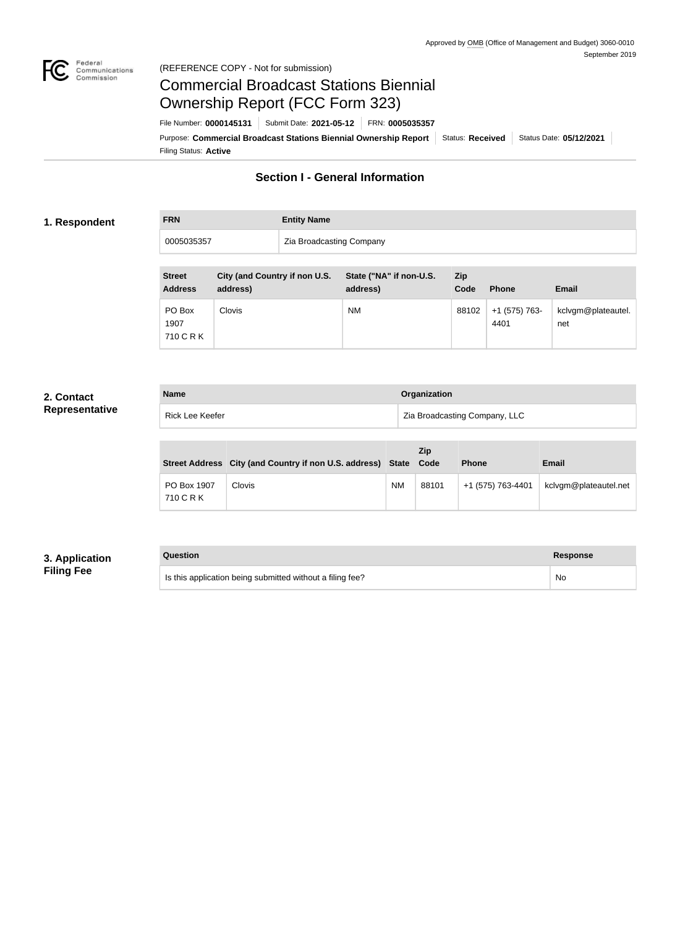

#### Federal<br>Communications<br>Commission (REFERENCE COPY - Not for submission)

# Commercial Broadcast Stations Biennial Ownership Report (FCC Form 323)

Filing Status: **Active** Purpose: Commercial Broadcast Stations Biennial Ownership Report Status: Received | Status Date: 05/12/2021 File Number: **0000145131** Submit Date: **2021-05-12** FRN: **0005035357**

## **Section I - General Information**

#### **1. Respondent**

**FRN Entity Name**

0005035357 **Zia Broadcasting Company** 

| <b>Street</b><br><b>Address</b> | City (and Country if non U.S.<br>address) | State ("NA" if non-U.S.<br>address) | Zip<br>Code | <b>Phone</b>          | <b>Email</b>              |
|---------------------------------|-------------------------------------------|-------------------------------------|-------------|-----------------------|---------------------------|
| PO Box<br>1907<br>710 C R K     | <b>Clovis</b>                             | <b>NM</b>                           | 88102       | +1 (575) 763-<br>4401 | kclvgm@plateautel.<br>net |

#### **2. Contact Representative**

| <b>Name</b> |                 | Organization                  |  |
|-------------|-----------------|-------------------------------|--|
|             | Rick Lee Keefer | Zia Broadcasting Company, LLC |  |

|                          | Street Address City (and Country if non U.S. address) State |           | <b>Zip</b><br>Code | <b>Phone</b>      | <b>Email</b>          |
|--------------------------|-------------------------------------------------------------|-----------|--------------------|-------------------|-----------------------|
| PO Box 1907<br>710 C R K | Clovis                                                      | <b>NM</b> | 88101              | +1 (575) 763-4401 | kclvgm@plateautel.net |

## **3. Application Filing Fee**

#### **Question Response**

Is this application being submitted without a filing fee? No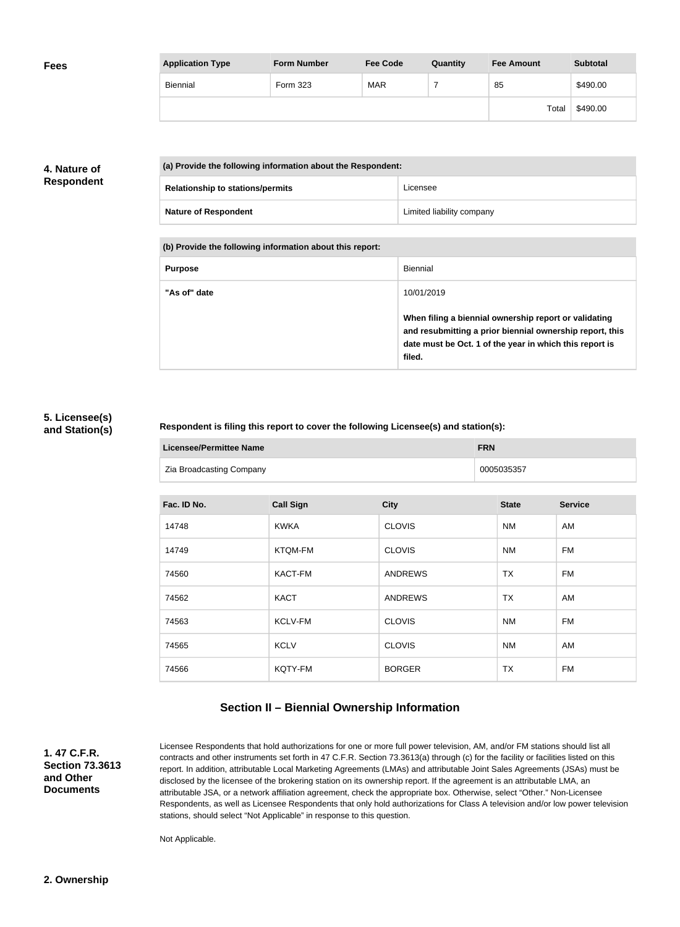| <b>Fees</b> | <b>Application Type</b> | <b>Form Number</b> | <b>Fee Code</b> | Quantity | <b>Fee Amount</b> | <b>Subtotal</b> |
|-------------|-------------------------|--------------------|-----------------|----------|-------------------|-----------------|
|             | Biennial                | Form 323           | <b>MAR</b>      |          | 85                | \$490.00        |
|             |                         |                    |                 |          | Total             | \$490.00        |

## **4. Nature of Respondent**

| (a) Provide the following information about the Respondent: |                           |
|-------------------------------------------------------------|---------------------------|
| <b>Relationship to stations/permits</b>                     | Licensee                  |
| <b>Nature of Respondent</b>                                 | Limited liability company |

**(b) Provide the following information about this report:**

| <b>Purpose</b> | Biennial                                                                                                                                                                               |
|----------------|----------------------------------------------------------------------------------------------------------------------------------------------------------------------------------------|
| "As of" date   | 10/01/2019                                                                                                                                                                             |
|                | When filing a biennial ownership report or validating<br>and resubmitting a prior biennial ownership report, this<br>date must be Oct. 1 of the year in which this report is<br>filed. |

#### **5. Licensee(s) and Station(s)**

#### **Respondent is filing this report to cover the following Licensee(s) and station(s):**

| <b>Licensee/Permittee Name</b> | <b>FRN</b> |
|--------------------------------|------------|
| Zia Broadcasting Company       | 0005035357 |

| Fac. ID No. | <b>Call Sign</b> | <b>City</b>    | <b>State</b> | <b>Service</b> |
|-------------|------------------|----------------|--------------|----------------|
| 14748       | <b>KWKA</b>      | <b>CLOVIS</b>  | NM           | AM             |
| 14749       | <b>KTQM-FM</b>   | <b>CLOVIS</b>  | <b>NM</b>    | <b>FM</b>      |
| 74560       | KACT-FM          | <b>ANDREWS</b> | <b>TX</b>    | <b>FM</b>      |
| 74562       | <b>KACT</b>      | <b>ANDREWS</b> | <b>TX</b>    | AM             |
| 74563       | <b>KCLV-FM</b>   | <b>CLOVIS</b>  | <b>NM</b>    | <b>FM</b>      |
| 74565       | <b>KCLV</b>      | <b>CLOVIS</b>  | NM           | AM             |
| 74566       | KQTY-FM          | <b>BORGER</b>  | <b>TX</b>    | <b>FM</b>      |

# **Section II – Biennial Ownership Information**

**1. 47 C.F.R. Section 73.3613 and Other Documents**

Licensee Respondents that hold authorizations for one or more full power television, AM, and/or FM stations should list all contracts and other instruments set forth in 47 C.F.R. Section 73.3613(a) through (c) for the facility or facilities listed on this report. In addition, attributable Local Marketing Agreements (LMAs) and attributable Joint Sales Agreements (JSAs) must be disclosed by the licensee of the brokering station on its ownership report. If the agreement is an attributable LMA, an attributable JSA, or a network affiliation agreement, check the appropriate box. Otherwise, select "Other." Non-Licensee Respondents, as well as Licensee Respondents that only hold authorizations for Class A television and/or low power television stations, should select "Not Applicable" in response to this question.

Not Applicable.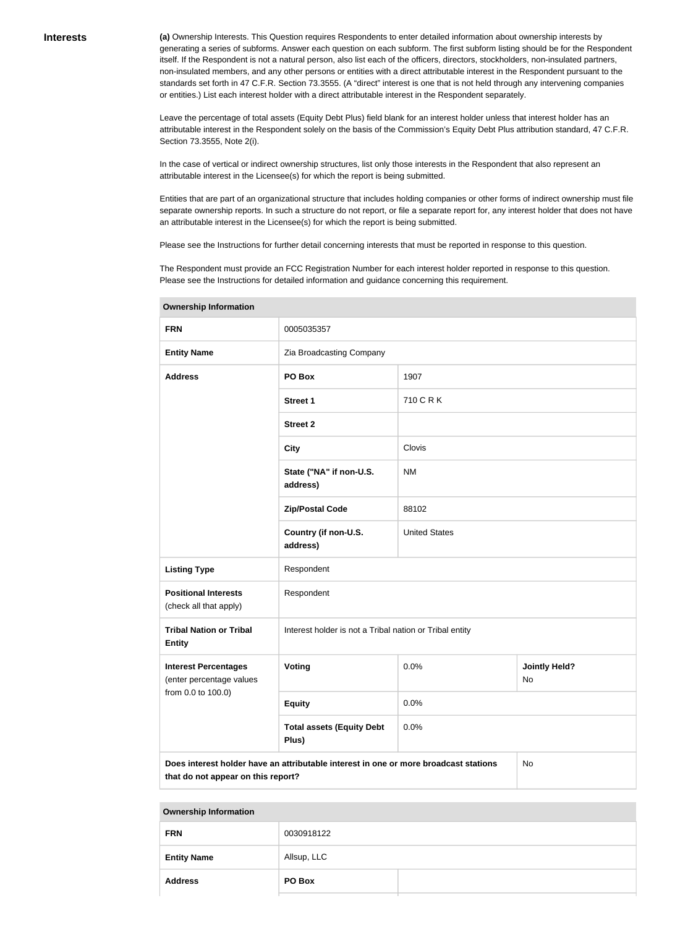**(a)** Ownership Interests. This Question requires Respondents to enter detailed information about ownership interests by generating a series of subforms. Answer each question on each subform. The first subform listing should be for the Respondent itself. If the Respondent is not a natural person, also list each of the officers, directors, stockholders, non-insulated partners, non-insulated members, and any other persons or entities with a direct attributable interest in the Respondent pursuant to the standards set forth in 47 C.F.R. Section 73.3555. (A "direct" interest is one that is not held through any intervening companies or entities.) List each interest holder with a direct attributable interest in the Respondent separately.

Leave the percentage of total assets (Equity Debt Plus) field blank for an interest holder unless that interest holder has an attributable interest in the Respondent solely on the basis of the Commission's Equity Debt Plus attribution standard, 47 C.F.R. Section 73.3555, Note 2(i).

In the case of vertical or indirect ownership structures, list only those interests in the Respondent that also represent an attributable interest in the Licensee(s) for which the report is being submitted.

Entities that are part of an organizational structure that includes holding companies or other forms of indirect ownership must file separate ownership reports. In such a structure do not report, or file a separate report for, any interest holder that does not have an attributable interest in the Licensee(s) for which the report is being submitted.

Please see the Instructions for further detail concerning interests that must be reported in response to this question.

The Respondent must provide an FCC Registration Number for each interest holder reported in response to this question. Please see the Instructions for detailed information and guidance concerning this requirement.

| ווטוואוווטוווועוווואט וטוועט                                      |                                                                                      |                      |                            |  |
|-------------------------------------------------------------------|--------------------------------------------------------------------------------------|----------------------|----------------------------|--|
| <b>FRN</b>                                                        | 0005035357                                                                           |                      |                            |  |
| <b>Entity Name</b>                                                | Zia Broadcasting Company                                                             |                      |                            |  |
| <b>Address</b>                                                    | PO Box<br>1907                                                                       |                      |                            |  |
|                                                                   | <b>Street 1</b>                                                                      | 710 C R K            |                            |  |
|                                                                   | <b>Street 2</b>                                                                      |                      |                            |  |
|                                                                   | <b>City</b>                                                                          | Clovis               |                            |  |
|                                                                   | State ("NA" if non-U.S.<br>address)                                                  | <b>NM</b>            |                            |  |
|                                                                   | <b>Zip/Postal Code</b>                                                               | 88102                |                            |  |
|                                                                   | Country (if non-U.S.<br>address)                                                     | <b>United States</b> |                            |  |
| <b>Listing Type</b>                                               | Respondent                                                                           |                      |                            |  |
| <b>Positional Interests</b><br>(check all that apply)             | Respondent                                                                           |                      |                            |  |
| <b>Tribal Nation or Tribal</b><br><b>Entity</b>                   | Interest holder is not a Tribal nation or Tribal entity                              |                      |                            |  |
| <b>Interest Percentages</b><br>Voting<br>(enter percentage values |                                                                                      | 0.0%                 | <b>Jointly Held?</b><br>No |  |
| from 0.0 to 100.0)                                                | <b>Equity</b>                                                                        | 0.0%                 |                            |  |
|                                                                   | <b>Total assets (Equity Debt</b><br>Plus)                                            | 0.0%                 |                            |  |
| that do not appear on this report?                                | Does interest holder have an attributable interest in one or more broadcast stations |                      | No                         |  |

**Ownership Information**

#### **Ownership Information**

| <b>FRN</b>         | 0030918122  |
|--------------------|-------------|
| <b>Entity Name</b> | Allsup, LLC |
| <b>Address</b>     | PO Box      |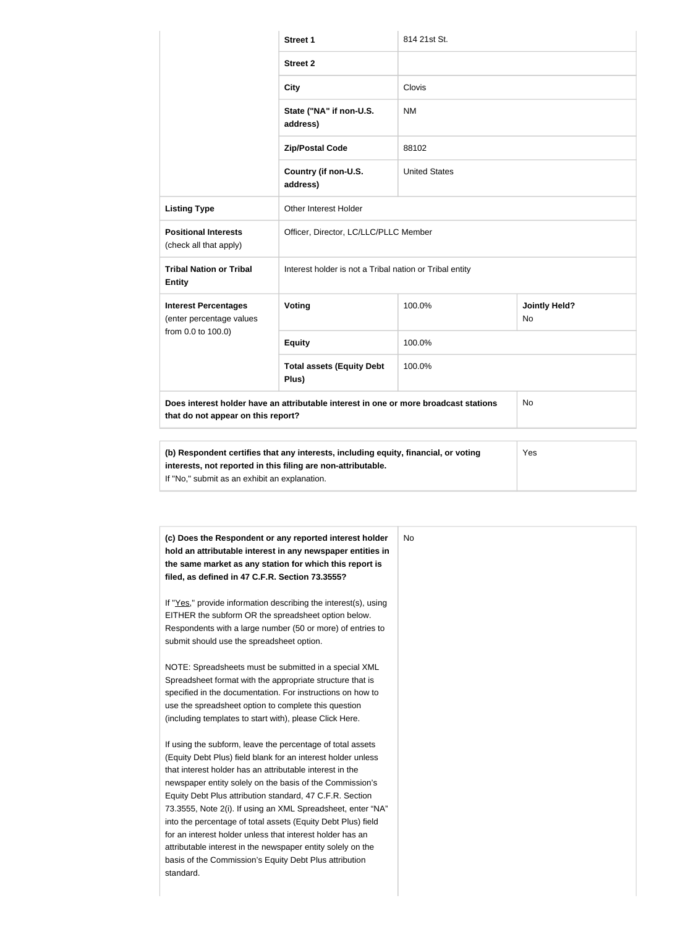|                                                         | <b>Street 1</b>                                                                                                                                            | 814 21st St.         |                             |  |
|---------------------------------------------------------|------------------------------------------------------------------------------------------------------------------------------------------------------------|----------------------|-----------------------------|--|
|                                                         | <b>Street 2</b>                                                                                                                                            |                      |                             |  |
|                                                         | <b>City</b>                                                                                                                                                | Clovis               |                             |  |
|                                                         | State ("NA" if non-U.S.<br>address)                                                                                                                        | <b>NM</b>            |                             |  |
|                                                         | <b>Zip/Postal Code</b>                                                                                                                                     | 88102                |                             |  |
|                                                         | Country (if non-U.S.<br>address)                                                                                                                           | <b>United States</b> |                             |  |
| <b>Listing Type</b>                                     | Other Interest Holder                                                                                                                                      |                      |                             |  |
| <b>Positional Interests</b><br>(check all that apply)   | Officer, Director, LC/LLC/PLLC Member                                                                                                                      |                      |                             |  |
| <b>Tribal Nation or Tribal</b><br><b>Entity</b>         | Interest holder is not a Tribal nation or Tribal entity                                                                                                    |                      |                             |  |
| <b>Interest Percentages</b><br>(enter percentage values | Voting                                                                                                                                                     | 100.0%               | <b>Jointly Held?</b><br>No. |  |
| from 0.0 to 100.0)                                      | <b>Equity</b>                                                                                                                                              | 100.0%               |                             |  |
| 100.0%<br><b>Total assets (Equity Debt</b><br>Plus)     |                                                                                                                                                            |                      |                             |  |
| that do not appear on this report?                      | Does interest holder have an attributable interest in one or more broadcast stations                                                                       |                      | No.                         |  |
|                                                         |                                                                                                                                                            |                      |                             |  |
|                                                         | (b) Respondent certifies that any interests, including equity, financial, or voting<br>Yes<br>interests, not reported in this filing are non-attributable. |                      |                             |  |

| (c) Does the Respondent or any reported interest holder<br>hold an attributable interest in any newspaper entities in<br>the same market as any station for which this report is<br>filed, as defined in 47 C.F.R. Section 73.3555?                                                                                                                                           | <b>No</b> |
|-------------------------------------------------------------------------------------------------------------------------------------------------------------------------------------------------------------------------------------------------------------------------------------------------------------------------------------------------------------------------------|-----------|
| If "Yes," provide information describing the interest(s), using<br>EITHER the subform OR the spreadsheet option below.<br>Respondents with a large number (50 or more) of entries to<br>submit should use the spreadsheet option.                                                                                                                                             |           |
| NOTE: Spreadsheets must be submitted in a special XML<br>Spreadsheet format with the appropriate structure that is<br>specified in the documentation. For instructions on how to<br>use the spreadsheet option to complete this question<br>(including templates to start with), please Click Here.                                                                           |           |
| If using the subform, leave the percentage of total assets<br>(Equity Debt Plus) field blank for an interest holder unless<br>that interest holder has an attributable interest in the<br>newspaper entity solely on the basis of the Commission's<br>Equity Debt Plus attribution standard, 47 C.F.R. Section<br>73.3555, Note 2(i). If using an XML Spreadsheet, enter "NA" |           |
| into the percentage of total assets (Equity Debt Plus) field<br>for an interest holder unless that interest holder has an<br>attributable interest in the newspaper entity solely on the<br>basis of the Commission's Equity Debt Plus attribution<br>standard.                                                                                                               |           |

If "No," submit as an exhibit an explanation.